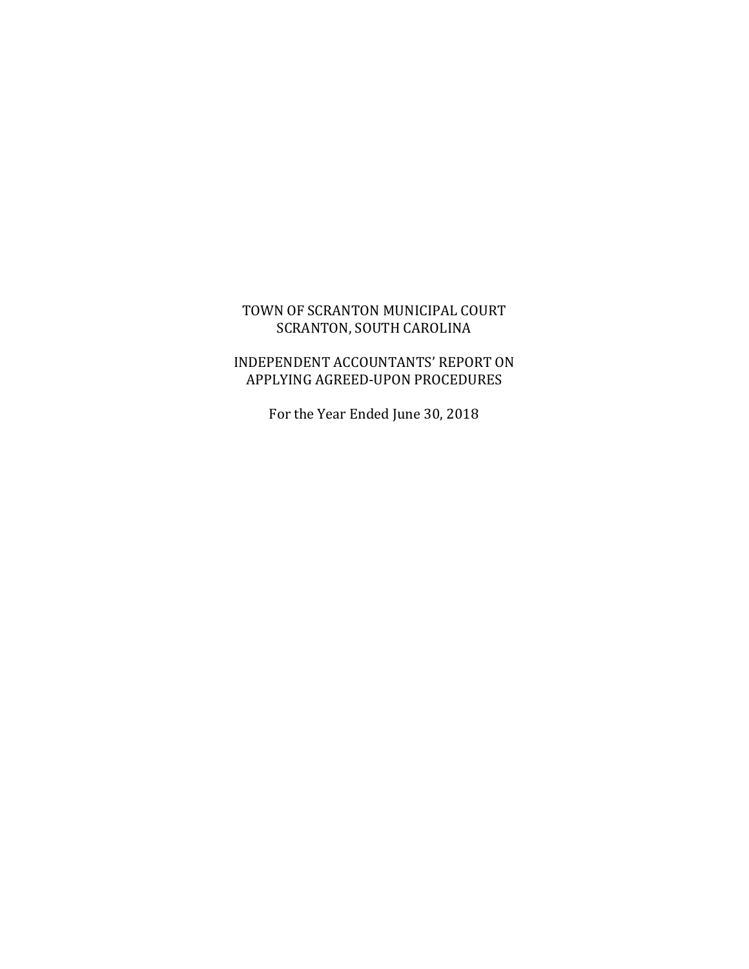## TOWN OF SCRANTON MUNICIPAL COURT SCRANTON, SOUTH CAROLINA

# INDEPENDENT ACCOUNTANTS' REPORT ON APPLYING AGREED-UPON PROCEDURES

For the Year Ended June 30, 2018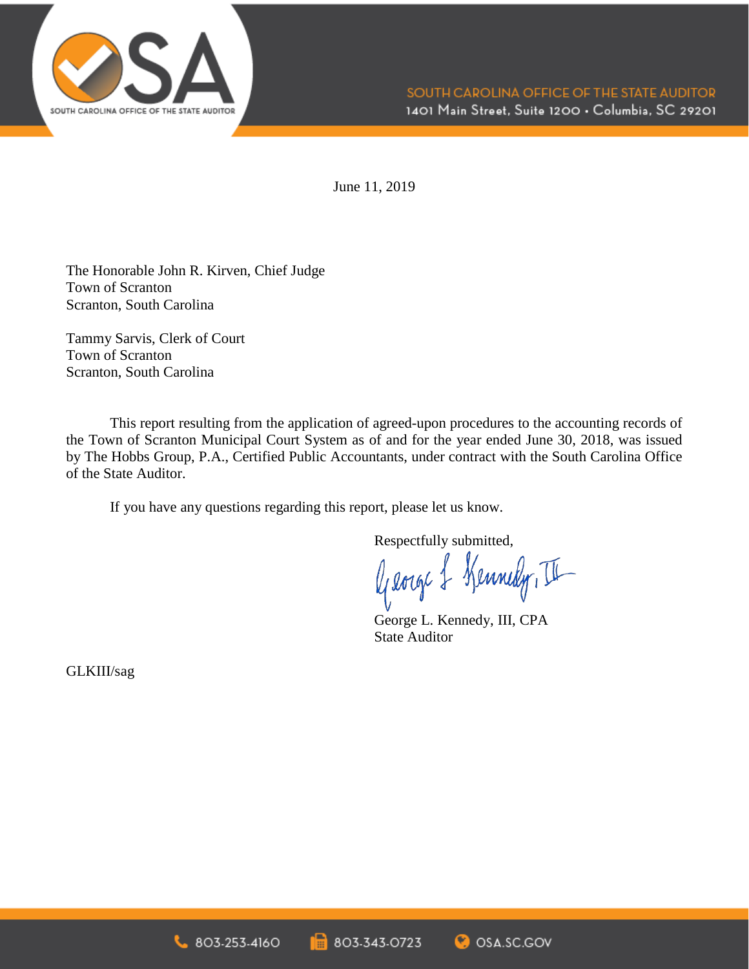

June 11, 2019

The Honorable John R. Kirven, Chief Judge Town of Scranton Scranton, South Carolina

Tammy Sarvis, Clerk of Court Town of Scranton Scranton, South Carolina

This report resulting from the application of agreed-upon procedures to the accounting records of the Town of Scranton Municipal Court System as of and for the year ended June 30, 2018, was issued by The Hobbs Group, P.A., Certified Public Accountants, under contract with the South Carolina Office of the State Auditor.

If you have any questions regarding this report, please let us know.

Respectfully submitted,

George & Kennedy, II

George L. Kennedy, III, CPA State Auditor

GLKIII/sag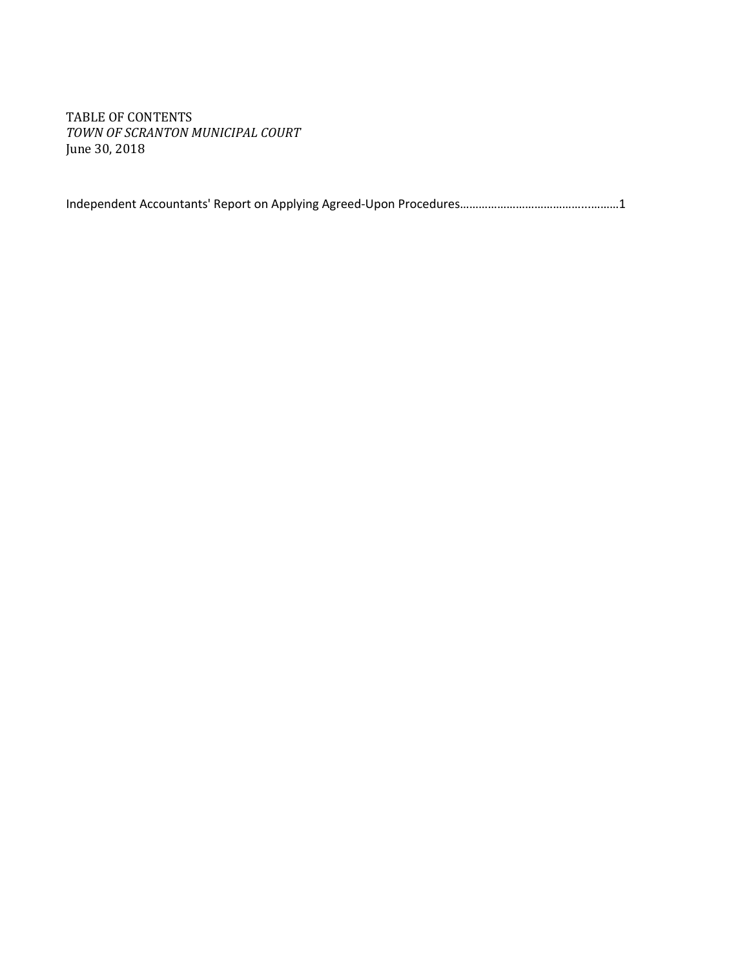TABLE OF CONTENTS *TOWN OF SCRANTON MUNICIPAL COURT* June 30, 2018

Independent Accountants' Report on Applying Agreed-Upon Procedures…………………………………...………1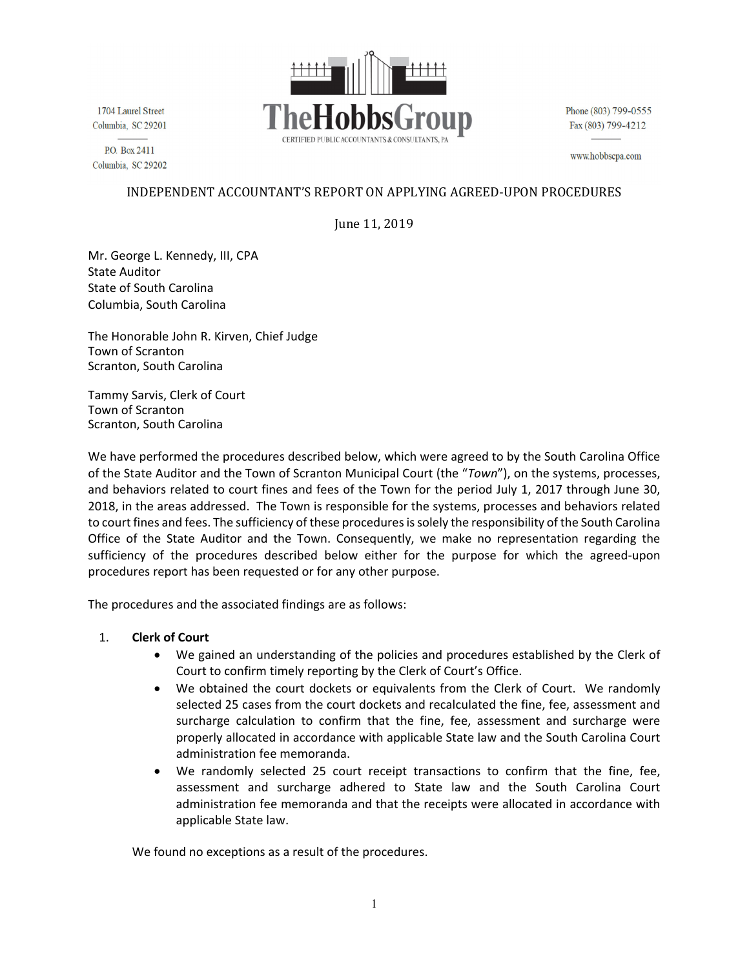

1704 Laurel Street Columbia, SC 29201

P.O. Box2411 Columbia, SC 29202 Phone (803) 799-0555 Fax (803) 799-4212

www.hobbscpa.com

### INDEPENDENT ACCOUNTANT'S REPORT ON APPLYING AGREED-UPON PROCEDURES

June 11, 2019

Mr. George L. Kennedy, III, CPA State Auditor State of South Carolina Columbia, South Carolina

The Honorable John R. Kirven, Chief Judge Town of Scranton Scranton, South Carolina

Tammy Sarvis, Clerk of Court Town of Scranton Scranton, South Carolina

We have performed the procedures described below, which were agreed to by the South Carolina Office of the State Auditor and the Town of Scranton Municipal Court (the "*Town*"), on the systems, processes, and behaviors related to court fines and fees of the Town for the period July 1, 2017 through June 30, 2018, in the areas addressed. The Town is responsible for the systems, processes and behaviors related to court fines and fees. The sufficiency of these procedures issolely the responsibility of the South Carolina Office of the State Auditor and the Town. Consequently, we make no representation regarding the sufficiency of the procedures described below either for the purpose for which the agreed-upon procedures report has been requested or for any other purpose.

The procedures and the associated findings are as follows:

#### 1. **Clerk of Court**

- We gained an understanding of the policies and procedures established by the Clerk of Court to confirm timely reporting by the Clerk of Court's Office.
- We obtained the court dockets or equivalents from the Clerk of Court. We randomly selected 25 cases from the court dockets and recalculated the fine, fee, assessment and surcharge calculation to confirm that the fine, fee, assessment and surcharge were properly allocated in accordance with applicable State law and the South Carolina Court administration fee memoranda.
- We randomly selected 25 court receipt transactions to confirm that the fine, fee, assessment and surcharge adhered to State law and the South Carolina Court administration fee memoranda and that the receipts were allocated in accordance with applicable State law.

We found no exceptions as a result of the procedures.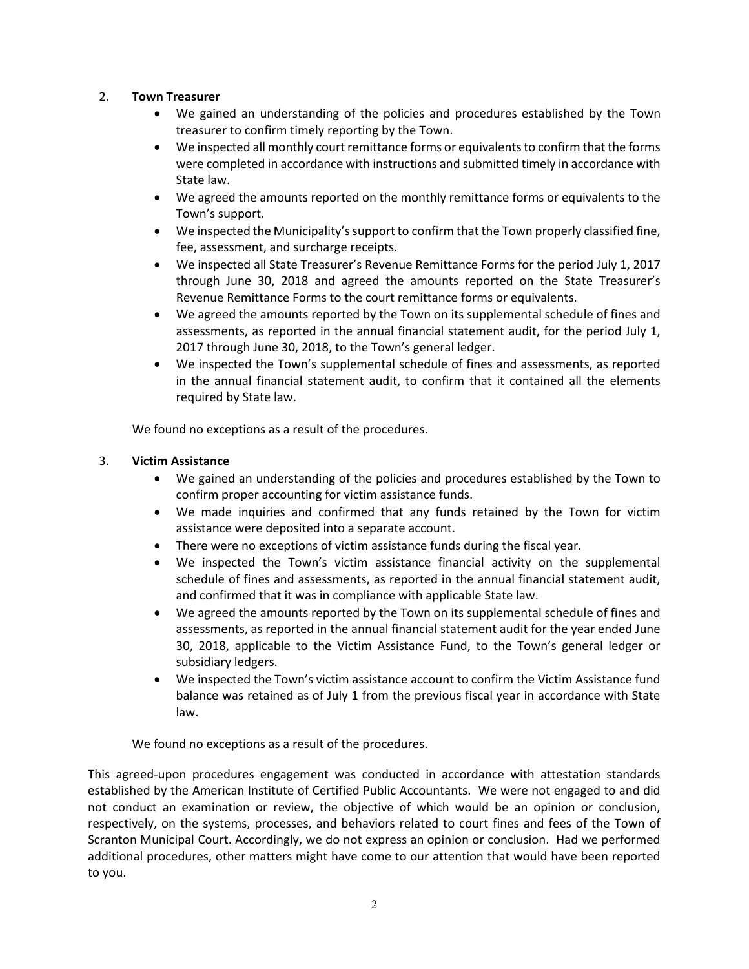#### 2. **Town Treasurer**

- We gained an understanding of the policies and procedures established by the Town treasurer to confirm timely reporting by the Town.
- We inspected all monthly court remittance forms or equivalents to confirm that the forms were completed in accordance with instructions and submitted timely in accordance with State law.
- We agreed the amounts reported on the monthly remittance forms or equivalents to the Town's support.
- We inspected the Municipality's support to confirm that the Town properly classified fine, fee, assessment, and surcharge receipts.
- We inspected all State Treasurer's Revenue Remittance Forms for the period July 1, 2017 through June 30, 2018 and agreed the amounts reported on the State Treasurer's Revenue Remittance Forms to the court remittance forms or equivalents.
- We agreed the amounts reported by the Town on its supplemental schedule of fines and assessments, as reported in the annual financial statement audit, for the period July 1, 2017 through June 30, 2018, to the Town's general ledger.
- We inspected the Town's supplemental schedule of fines and assessments, as reported in the annual financial statement audit, to confirm that it contained all the elements required by State law.

We found no exceptions as a result of the procedures.

#### 3. **Victim Assistance**

- We gained an understanding of the policies and procedures established by the Town to confirm proper accounting for victim assistance funds.
- We made inquiries and confirmed that any funds retained by the Town for victim assistance were deposited into a separate account.
- There were no exceptions of victim assistance funds during the fiscal year.
- We inspected the Town's victim assistance financial activity on the supplemental schedule of fines and assessments, as reported in the annual financial statement audit, and confirmed that it was in compliance with applicable State law.
- We agreed the amounts reported by the Town on its supplemental schedule of fines and assessments, as reported in the annual financial statement audit for the year ended June 30, 2018, applicable to the Victim Assistance Fund, to the Town's general ledger or subsidiary ledgers.
- We inspected the Town's victim assistance account to confirm the Victim Assistance fund balance was retained as of July 1 from the previous fiscal year in accordance with State law.

We found no exceptions as a result of the procedures.

This agreed-upon procedures engagement was conducted in accordance with attestation standards established by the American Institute of Certified Public Accountants. We were not engaged to and did not conduct an examination or review, the objective of which would be an opinion or conclusion, respectively, on the systems, processes, and behaviors related to court fines and fees of the Town of Scranton Municipal Court. Accordingly, we do not express an opinion or conclusion. Had we performed additional procedures, other matters might have come to our attention that would have been reported to you.